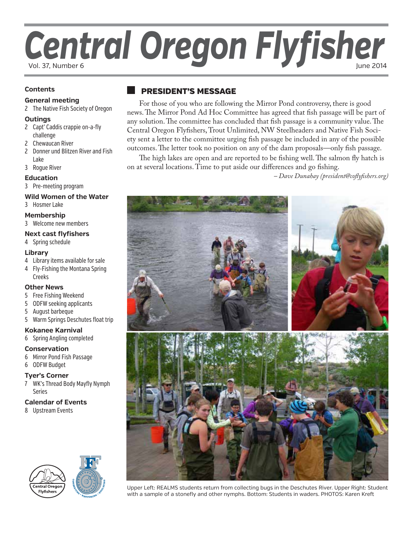# Central Oregon Flyfisher

# **Contents**

### **G[eneral meeting](#page-1-0)**

2 [The Native Fish Society of Oregon](#page-1-0)

### **[Outings](#page-1-0)**

- 2 [Capt' Caddis crappie on-a-fly](#page-1-0)  [challenge](#page-1-0)
- 2 [Chewaucan River](#page-1-0)
- 2 [Donner und Blitzen River and Fish](#page-1-0)  [Lake](#page-1-0)
- 3 [Rogue River](#page-2-0)

### **[Ed](#page-2-0)ucation**

3 [Pre-meeting program](#page-2-0)

### **[Wild Women of the Water](#page-2-0)**

3 [Hosmer Lake](#page-2-0)

### **[Membership](#page-2-0)**

3 Welcome new members

### **[Next cast flyfishers](#page-3-0)**

4 [Spring schedule](#page-3-0)

### **[Library](#page-3-0)**

- 4 [Library items available for sale](#page-3-0)
- 4 [Fly-Fishing the Montana Spring](#page-3-0)  [Creeks](#page-3-0)

### **[Other News](#page-4-0)**

- 5 [Free Fishing Weekend](#page-4-0)
- 5 [ODFW seeking applicants](#page-4-0)
- 5 [August barbeque](#page-4-0)
- 5 [Warm Springs Deschutes float trip](#page-4-0)

### **[Kokanee Karnival](#page-5-0)**

6 [Spring Angling completed](#page-5-0)

### **[Conservation](#page-5-0)**

- 6 [Mirror Pond Fish Passage](#page-5-0)
- 6 [ODFW Budget](#page-5-0)

### **[Tyer's Corner](#page-6-0)**

7 [WK's Thread Body Mayfly Nymph](#page-6-0)  [Series](#page-6-0)

### **Calendar of Events**

8 Upstream Events





# president's message

For those of you who are following the Mirror Pond controversy, there is good news. The Mirror Pond Ad Hoc Committee has agreed that fish passage will be part of any solution. The committee has concluded that fish passage is a community value. The Central Oregon Flyfishers, Trout Unlimited, NW Steelheaders and Native Fish Society sent a letter to the committee urging fish passage be included in any of the possible outcomes. The letter took no position on any of the dam proposals—only fish passage.

The high lakes are open and are reported to be fishing well. The salmon fly hatch is on at several locations. Time to put aside our differences and go fishing.

*– Dave Dunahay (president@coflyfishers.org)*



Upper Left: REALMS students return from collecting bugs in the Deschutes River. Upper Right: Student with a sample of a stonefly and other nymphs. Bottom: Students in waders. PHOTOS: Karen Kreft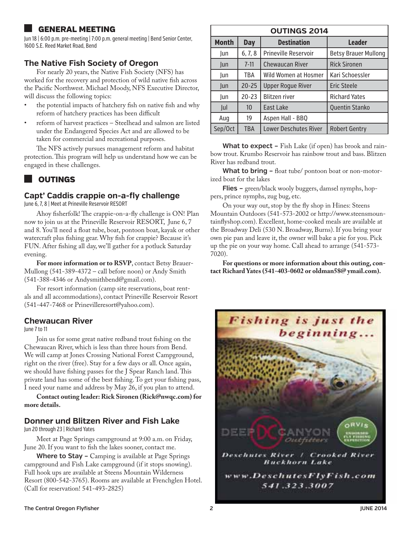# <span id="page-1-0"></span>general meeting

Jun 18 | 6:00 p.m. pre-meeting | 7:00 p.m. general meeting | Bend Senior Center, 1600 S.E. Reed Market Road, Bend

# **The Native Fish Society of Oregon**

For nearly 20 years, the Native Fish Society (NFS) has worked for the recovery and protection of wild native fish across the Pacific Northwest. Michael Moody, NFS Executive Director, will discuss the following topics:

- the potential impacts of hatchery fish on native fish and why reform of hatchery practices has been difficult
- reform of harvest practices Steelhead and salmon are listed under the Endangered Species Act and are allowed to be taken for commercial and recreational purposes.

The NFS actively pursues management reform and habitat protection. This program will help us understand how we can be engaged in these challenges.

# **OUTINGS**

# **Capt' Caddis crappie on-a-fly challenge**

June 6, 7, 8 | Meet at Prineville Reservoir RESORT

Ahoy fisherfolk! The crappie-on-a-fly challenge is ON! Plan now to join us at the Prineville Reservoir RESORT, June 6, 7 and 8. You'll need a float tube, boat, pontoon boat, kayak or other watercraft plus fishing gear. Why fish for crappie? Because it's FUN. After fishing all day, we'll gather for a potluck Saturday evening.

**For more information or to RSVP**, contact Betsy Brauer-Mullong (541-389-4372 – call before noon) or Andy Smith (541-388-4346 or Andysmithbend@gmail.com).

For resort information (camp site reservations, boat rentals and all accommodations), contact Prineville Reservoir Resort (541-447-7468 or Prinevilleresort@yahoo.com).

# **Chewaucan River**

June 7 to 11

Join us for some great native redband trout fishing on the Chewaucan River, which is less than three hours from Bend. We will camp at Jones Crossing National Forest Campground, right on the river (free). Stay for a few days or all. Once again, we should have fishing passes for the J Spear Ranch land. This private land has some of the best fishing. To get your fishing pass, I need your name and address by May 26, if you plan to attend.

**Contact outing leader: Rick Sironen (Rick@nwqc.com) for more details.**

# **Donner und Blitzen River and Fish Lake**

Jun 20 through 23 | Richard Yates

Meet at Page Springs campground at 9:00 a.m. on Friday, June 20. If you want to fish the lakes sooner, contact me.

**Where to Stay –** Camping is available at Page Springs campground and Fish Lake campground (if it stops snowing). Full hook ups are available at Steens Mountain Wilderness Resort (800-542-3765). Rooms are available at Frenchglen Hotel. (Call for reservation! 541-493-2825)

| <b>OUTINGS 2014</b> |                 |                              |                             |  |  |  |  |  |  |
|---------------------|-----------------|------------------------------|-----------------------------|--|--|--|--|--|--|
| <b>Month</b>        | <b>Day</b>      | <b>Destination</b>           | <b>Leader</b>               |  |  |  |  |  |  |
| lun                 | 6, 7, 8         | Prineville Reservoir         | <b>Betsy Brauer Mullong</b> |  |  |  |  |  |  |
| Jun                 | $7 - 11$        | <b>Chewaucan River</b>       | <b>Rick Sironen</b>         |  |  |  |  |  |  |
| Jun                 | <b>TBA</b>      | Wild Women at Hosmer         | Kari Schoessler             |  |  |  |  |  |  |
| Jun                 | $20 - 25$       | <b>Upper Rogue River</b>     | Eric Steele                 |  |  |  |  |  |  |
| Jun                 | $20 - 23$       | <b>Blitzen</b> river         | <b>Richard Yates</b>        |  |  |  |  |  |  |
| Jul                 | 10 <sup>°</sup> | East Lake                    | <b>Quentin Stanko</b>       |  |  |  |  |  |  |
| Aug                 | 19              | Aspen Hall - BBQ             |                             |  |  |  |  |  |  |
| Sep/Oct             | <b>TBA</b>      | <b>Lower Deschutes River</b> | <b>Robert Gentry</b>        |  |  |  |  |  |  |

**What to expect –** Fish Lake (if open) has brook and rainbow trout. Krumbo Reservoir has rainbow trout and bass. Blitzen River has redband trout.

What to bring - float tube/ pontoon boat or non-motorized boat for the lakes

**Flies –** green/black wooly buggers, damsel nymphs, hoppers, prince nymphs, zug bug, etc.

On your way out, stop by the fly shop in Hines: Steens Mountain Outdoors (541-573-2002 or http://www.steensmountainflyshop.com). Excellent, home-cooked meals are available at the Broadway Deli (530 N. Broadway, Burns). If you bring your own pie pan and leave it, the owner will bake a pie for you. Pick up the pie on your way home. Call ahead to arrange (541-573- 7020).

**For questions or more information about this outing, contact Richard Yates (541-403-0602 or oldman58@ ymail.com).** 

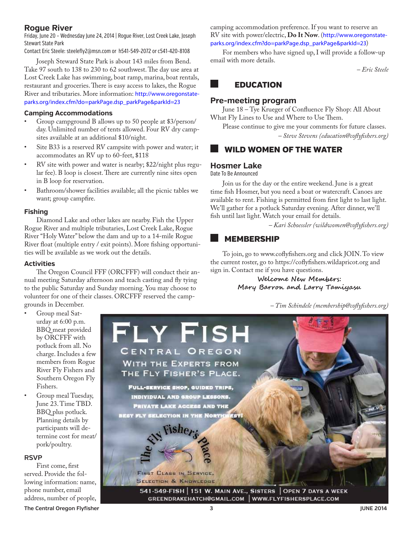# <span id="page-2-0"></span>**Rogue River**

Friday, June 20 – Wednesday June 24, 2014 | Rogue River, Lost Creek Lake, Joseph Stewart State Park

Contact Eric Steele: steelefly2@msn.com or h541-549-2072 or c541-420-8108

Joseph Steward State Park is about 143 miles from Bend. Take 97 south to 138 to 230 to 62 southwest. The day use area at Lost Creek Lake has swimming, boat ramp, marina, boat rentals, restaurant and groceries. There is easy access to lakes, the Rogue River and tributaries. More information: [http://www.oregonstate](http://www.oregonstateparks.org/index.cfm?do=parkPage.dsp_parkPage&parkId=23)[parks.org/index.cfm?do=parkPage.dsp\\_parkPage&parkId=23](http://www.oregonstateparks.org/index.cfm?do=parkPage.dsp_parkPage&parkId=23)

### **Camping Accommodations**

- Group campground B allows up to 50 people at \$3/person/ day. Unlimited number of tents allowed. Four RV dry campsites available at an additional \$10/night.
- Site B33 is a reserved RV campsite with power and water; it accommodates an RV up to 60-feet, \$118
- RV site with power and water is nearby; \$22/night plus regular fee). B loop is closest. There are currently nine sites open in B loop for reservation.
- Bathroom/shower facilities available; all the picnic tables we want; group campfire.

### **Fishing**

Diamond Lake and other lakes are nearby. Fish the Upper Rogue River and multiple tributaries, Lost Creek Lake, Rogue River "Holy Water" below the dam and up to a 14-mile Rogue River float (multiple entry / exit points). More fishing opportunities will be available as we work out the details.

### **Activities**

The Oregon Council FFF (ORCFFF) will conduct their annual meeting Saturday afternoon and teach casting and fly tying to the public Saturday and Sunday morning. You may choose to volunteer for one of their classes. ORCFFF reserved the campgrounds in December.

Group meal Saturday at 6:00 p.m. BBQ meat provided by ORCFFF with potluck from all. No charge. Includes a few members from Rogue River Fly Fishers and Southern Oregon Fly Fishers.

Group meal Tuesday, June 23. Time TBD. BBQ plus potluck. Planning details by participants will determine cost for meat/ pork/poultry.

### **RSVP**

First come, first served. Provide the following information: name, phone number, email address, number of people,

camping accommodation preference. If you want to reserve an RV site with power/electric, **Do It Now**. ([http://www.oregonstate](http://www.oregonstateparks.org/index.cfm?do=parkPage.dsp_parkPage&parkId=23)[parks.org/index.cfm?do=parkPage.dsp\\_parkPage&parkId=23](http://www.oregonstateparks.org/index.cfm?do=parkPage.dsp_parkPage&parkId=23))

For members who have signed up, I will provide a follow-up email with more details.

*– Eric Steele*

# EDUCATION

### **Pre-meeting program**

June 18 – Tye Krueger of Confluence Fly Shop: All About What Fly Lines to Use and Where to Use Them.

Please continue to give me your comments for future classes. *– Steve Stevens (education@coflyfishers.org)*

# wild women of the water

### **Hosmer Lake**

Date To Be Announced

Join us for the day or the entire weekend. June is a great time fish Hosmer, but you need a boat or watercraft. Canoes are available to rent. Fishing is permitted from first light to last light. We'll gather for a potluck Saturday evening. After dinner, we'll fish until last light. Watch your email for details.

*– Kari Schoessler (wildwomen@coflyfishers.org)*

### **MEMBERSHIP**

To join, go to www.coflyfishers.org and click JOIN. To view the current roster, go to https://coflyfishers.wildapricot.org and sign in. Contact me if you have questions.

> **Welcome New Members: Mary Barron and Larry Tamiyasu**

> > *– Tim Schindele (membership@coflyfishers.org)*



**The Central Oregon Flyfisher 3 JUNE 2014**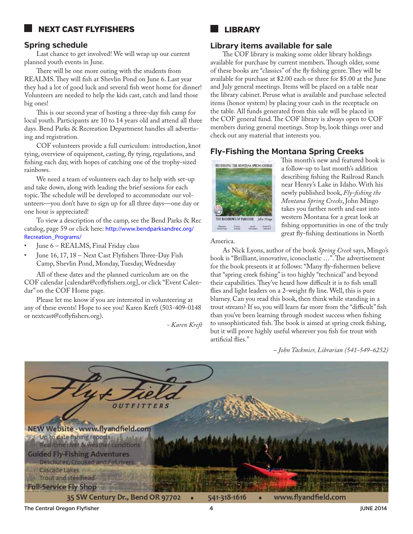# <span id="page-3-0"></span>next cast flyfishers

### **Spring schedule**

Last chance to get involved! We will wrap up our current planned youth events in June.

There will be one more outing with the students from REALMS. They will fish at Shevlin Pond on June 6. Last year they had a lot of good luck and several fish went home for dinner! Volunteers are needed to help the kids cast, catch and land those big ones!

This is our second year of hosting a three-day fish camp for local youth. Participants are 10 to 14 years old and attend all three days. Bend Parks & Recreation Department handles all advertising and registration.

COF volunteers provide a full curriculum: introduction, knot tying, overview of equipment, casting, fly tying, regulations, and fishing each day, with hopes of catching one of the trophy-sized rainbows.

We need a team of volunteers each day to help with set-up and take down, along with leading the brief sessions for each topic. The schedule will be developed to accommodate our volunteers—you don't have to sign up for all three days—one day or one hour is appreciated!

To view a description of the camp, see the Bend Parks & Rec catalog, page 59 or click here: [http://www.bendparksandrec.org/](http://www.bendparksandrec.org/Recreation_Programs/) [Recreation\\_Programs/](http://www.bendparksandrec.org/Recreation_Programs/)

- June 6 REALMS, Final Friday class
- June 16, 17, 18 Next Cast Flyfishers Three-Day Fish Camp, Shevlin Pond, Monday, Tuesday, Wednesday

All of these dates and the planned curriculum are on the COF calendar [calendar@coflyfishers.org], or click "Event Calendar" on the COF Home page.

Please let me know if you are interested in volunteering at any of these events! Hope to see you! Karen Kreft (503-409-0148 or nextcast@coflyfishers.org).

*- Karen Kreft*



### **Library items available for sale**

The COF library is making some older library holdings available for purchase by current members. Though older, some of these books are "classics" of the fly fishing genre. They will be available for purchase at \$2.00 each or three for \$5.00 at the June and July general meetings. Items will be placed on a table near the library cabinet. Peruse what is available and purchase selected items (honor system) by placing your cash in the receptacle on the table. All funds generated from this sale will be placed in the COF general fund. The COF library is always open to COF members during general meetings. Stop by, look things over and check out any material that interests you.

# **Fly-Fishing the Montana Spring Creeks**



This month's new and featured book is a follow-up to last month's addition describing fishing the Railroad Ranch near Henry's Lake in Idaho. With his newly published book, *Fly-fishing the Montana Spring Creeks*, John Mingo takes you farther north and east into western Montana for a great look at fishing opportunities in one of the truly great fly-fishing destinations in North

America.

As Nick Lyons, author of the book *Spring Creek* says, Mingo's book is "Brilliant, innovative, iconoclastic …". The advertisement for the book presents it at follows: "Many fly-fishermen believe that "spring creek fishing" is too highly "technical" and beyond their capabilities. They've heard how difficult it is to fish small flies and light leaders on a 2-weight fly line. Well, this is pure blarney. Can you read this book, then think while standing in a trout stream? If so, you will learn far more from the "difficult" fish than you've been learning through modest success when fishing to unsophisticated fish. The book is aimed at spring creek fishing, but it will prove highly useful wherever you fish for trout with artificial flies."

*– John Tackmier, Librarian (541-549-6252)*

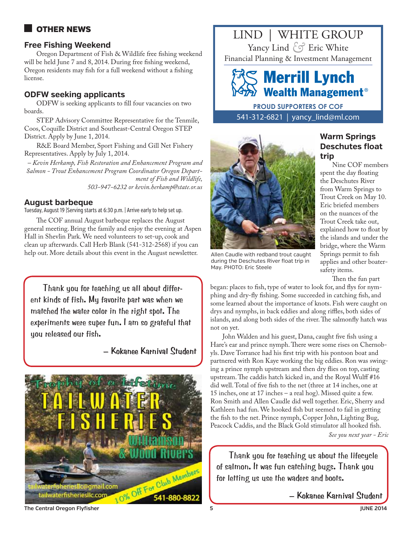# <span id="page-4-0"></span>Other News

### **Free Fishing Weekend**

Oregon Department of Fish & Wildlife free fishing weekend will be held June 7 and 8, 2014. During free fishing weekend, Oregon residents may fish for a full weekend without a fishing license.

# **ODFW seeking applicants**

ODFW is seeking applicants to fill four vacancies on two boards.

STEP Advisory Committee Representative for the Tenmile, Coos, Coquille District and Southeast-Central Oregon STEP District. Apply by June 1, 2014.

R&E Board Member, Sport Fishing and Gill Net Fishery Representatives. Apply by July 1, 2014.

*– Kevin Herkamp, Fish Restoration and Enhancement Program and Salmon - Trout Enhancement Program Coordinator Oregon Department of Fish and Wildlife, 503-947-6232 or kevin.herkamp@state.or.us*

### **August barbeque**

Tuesday, August 19 |Serving starts at 6:30 p.m. | Arrive early to help set up.

The COF annual August barbeque replaces the August general meeting. Bring the family and enjoy the evening at Aspen Hall in Shevlin Park. We need volunteers to set-up, cook and clean up afterwards. Call Herb Blank (541-312-2568) if you can help out. More details about this event in the August newsletter.

Thank you for teaching us all about different kinds of fish. My favorite part was when we matched the water color in the right spot. The experiments were super fun. I am so grateful that you released our fish.

**– Kokanee Karnival Student**



LIND | WHITE GROUP Yancy Lind Eric White *&*  Financial Planning & Investment Management

# **Merrill Lynch Wealth Management<sup>®</sup>**

541-312-6821 | yancy\_lind@ml.com **PROUD SUPPORTERS OF COF**



Allen Caudle with redband trout caught during the Deschutes River float trip in May. PHOTO: Eric Steele

# **Warm Springs Deschutes float trip**

Nine COF members spent the day floating the Deschutes River from Warm Springs to Trout Creek on May 10. Eric briefed members on the nuances of the Trout Creek take out, explained how to float by the islands and under the bridge, where the Warm Springs permit to fish applies and other boatersafety items.

Then the fun part

began: places to fish, type of water to look for, and flys for nymphing and dry-fly fishing. Some succeeded in catching fish, and some learned about the importance of knots. Fish were caught on drys and nymphs, in back eddies and along riffles, both sides of islands, and along both sides of the river. The salmonfly hatch was not on yet.

John Walden and his guest, Dana, caught five fish using a Hare's ear and prince nymph. There were some rises on Chernobyls. Dave Torrance had his first trip with his pontoon boat and partnered with Ron Kaye working the big eddies. Ron was swinging a prince nymph upstream and then dry flies on top, casting upstream. The caddis hatch kicked in, and the Royal Wulff #16 did well. Total of five fish to the net (three at 14 inches, one at 15 inches, one at 17 inches – a real hog). Missed quite a few. Ron Smith and Allen Caudle did well together. Eric, Sherry and Kathleen had fun. We hooked fish but seemed to fail in getting the fish to the net. Prince nymph, Copper John, Lighting Bug, Peacock Caddis, and the Black Gold stimulator all hooked fish. *See you next year - Eric*

Thank you for teaching us about the lifecycle of salmon. It was fun catching bugs. Thank you for letting us use the waders and boots.

**– Kokanee Karnival Student**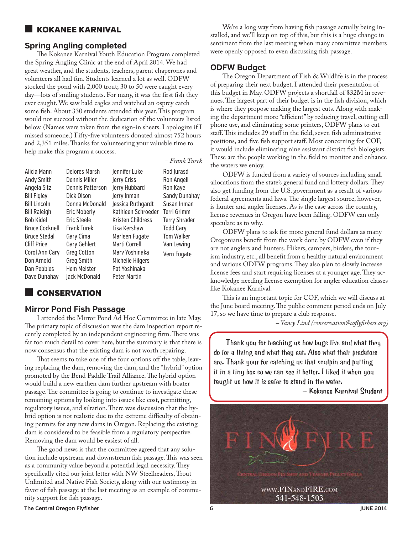# <span id="page-5-0"></span>kokanee karnival

# **Spring Angling completed**

The Kokanee Karnival Youth Education Program completed the Spring Angling Clinic at the end of April 2014. We had great weather, and the students, teachers, parent chaperones and volunteers all had fun. Students learned a lot as well. ODFW stocked the pond with 2,000 trout; 30 to 50 were caught every day—lots of smiling students. For many, it was the first fish they ever caught. We saw bald eagles and watched an osprey catch some fish. About 330 students attended this year. This program would not succeed without the dedication of the volunteers listed below. (Names were taken from the sign-in sheets. I apologize if I missed someone.) Fifty-five volunteers donated almost 752 hours and 2,351 miles. Thanks for volunteering your valuable time to help make this program a success.

Alicia Mann Andy Smith Angela Sitz Bill Figley Bill Lincoln Bill Raleigh Bob Kidel Bruce Cocknell Bruce Stedal Cliff Price Corol Ann Cary Don Arnold Dan Pebbles Dave Dunahay

Delores Marsh Dennis Miller Dennis Patterson Dick Olson Donna McDonald Eric Moberly Eric Steele Frank Turek Gary Cima Gary Gehlert Greg Cotton Greg Smith Hem Meister Jack McDonald Jennifer Luke Jerry Criss Jerry Hubbard Jerry Inman Jessica Ruthgardt Kristen Childress Lisa Kershaw Marleen Fugate Marti Correll Marv Yoshinaka Michelle Hilgers Pat Yoshinaka Peter Martin

*– Frank Turek* Kathleen Schroeder Terri Grimm Rod lurasd Ron Angell Ron Kaye Sandy Dunahay Susan Inman Terry Shrader Todd Cary Tom Walker Van Lewing Vern Fugate

# **CONSERVATION**

### **Mirror Pond Fish Passage**

I attended the Mirror Pond Ad Hoc Committee in late May. The primary topic of discussion was the dam inspection report recently completed by an independent engineering firm. There was far too much detail to cover here, but the summary is that there is now consensus that the existing dam is not worth repairing.

That seems to take one of the four options off the table, leaving replacing the dam, removing the dam, and the "hybrid" option promoted by the Bend Paddle Trail Alliance. The hybrid option would build a new earthen dam further upstream with boater passage. The committee is going to continue to investigate these remaining options by looking into issues like cost, permitting, regulatory issues, and siltation. There was discussion that the hybrid option is not realistic due to the extreme difficulty of obtaining permits for any new dams in Oregon. Replacing the existing dam is considered to be feasible from a regulatory perspective. Removing the dam would be easiest of all.

The good news is that the committee agreed that any solution include upstream and downstream fish passage. This was seen as a community value beyond a potential legal necessity. They specifically cited our joint letter with NW Steelheaders, Trout Unlimited and Native Fish Society, along with our testimony in favor of fish passage at the last meeting as an example of community support for fish passage.

We're a long way from having fish passage actually being installed, and we'll keep on top of this, but this is a huge change in sentiment from the last meeting when many committee members were openly opposed to even discussing fish passage.

# **ODFW Budget**

The Oregon Department of Fish & Wildlife is in the process of preparing their next budget. I attended their presentation of this budget in May. ODFW projects a shortfall of \$32M in revenues. The largest part of their budget is in the fish division, which is where they propose making the largest cuts. Along with making the department more "efficient" by reducing travel, cutting cell phone use, and eliminating some printers, ODFW plans to cut staff. This includes 29 staff in the field, seven fish administrative positions, and five fish support staff. Most concerning for COF, it would include eliminating nine assistant district fish biologists. These are the people working in the field to monitor and enhance the waters we enjoy.

ODFW is funded from a variety of sources including small allocations from the state's general fund and lottery dollars. They also get funding from the U.S. government as a result of various federal agreements and laws. The single largest source, however, is hunter and angler licenses. As is the case across the country, license revenues in Oregon have been falling. ODFW can only speculate as to why.

ODFW plans to ask for more general fund dollars as many Oregonians benefit from the work done by ODFW even if they are not anglers and hunters. Hikers, campers, birders, the tourism industry, etc., all benefit from a healthy natural environment and various ODFW programs. They also plan to slowly increase license fees and start requiring licenses at a younger age. They acknowledge needing license exemption for angler education classes like Kokanee Karnival.

This is an important topic for COF, which we will discuss at the June board meeting. The public comment period ends on July 17, so we have time to prepare a club response.

*– Yancy Lind (conservation@coflyfishers.org)*

Thank you for teaching us how bugs live and what they do for a living and what they eat. Also what their predators are. Thank your for catching us that sculpin and putting it in a tiny box so we can see it better. I liked it when you taught us how it is safer to stand in the water.

**– Kokanee Karnival Student**

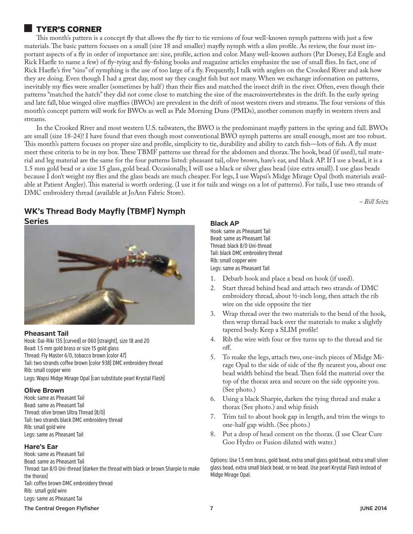# <span id="page-6-0"></span>tyer's corner

This month's pattern is a concept fly that allows the fly tier to tie versions of four well-known nymph patterns with just a few materials. The basic pattern focuses on a small (size 18 and smaller) mayfly nymph with a slim profile. As review, the four most important aspects of a fly in order of importance are: size, profile, action and color. Many well-known authors (Pat Dorsey, Ed Engle and Rick Haefle to name a few) of fly-tying and fly-fishing books and magazine articles emphasize the use of small flies. In fact, one of Rick Haefle's five "sins" of nymphing is the use of too large of a fly. Frequently, I talk with anglers on the Crooked River and ask how they are doing. Even though I had a great day, most say they caught fish but not many. When we exchange information on patterns, inevitably my flies were smaller (sometimes by half) than their flies and matched the insect drift in the river. Often, even though their patterns "matched the hatch" they did not come close to matching the size of the macroinvertebrates in the drift. In the early spring and late fall, blue winged olive mayflies (BWOs) are prevalent in the drift of most western rivers and streams. The four versions of this month's concept pattern will work for BWOs as well as Pale Morning Duns (PMDs), another common mayfly in western rivers and streams.

In the Crooked River and most western U.S. tailwaters, the BWO is the predominant mayfly pattern in the spring and fall. BWOs are small (size 18-24)! I have found that even though most conventional BWO nymph patterns are small enough, most are too robust. This month's pattern focuses on proper size and profile, simplicity to tie, durability and ability to catch fish—lots of fish. A fly must meet these criteria to be in my box. These TBMF patterns use thread for the abdomen and thorax. The hook, bead (if used), tail material and leg material are the same for the four patterns listed: pheasant tail, olive brown, hare's ear, and black AP. If I use a bead, it is a 1.5 mm gold bead or a size 15 glass, gold bead. Occasionally, I will use a black or silver glass bead (size extra small). I use glass beads because I don't weight my flies and the glass beads are much cheaper. For legs, I use Wapsi's Midge Mirage Opal (both materials available at Patient Angler). This material is worth ordering. (I use it for tails and wings on a lot of patterns). For tails, I use two strands of DMC embroidery thread (available at JoAnn Fabric Store).

*– Bill Seitz*

# **WK's Thread Body Mayfly (TBMF) Nymph Series**



### **Pheasant Tail**

Hook: Dai-Riki 135 (curved) or 060 (straight), size 18 and 20 Bead: 1.5 mm gold brass or size 15 gold glass Thread: Fly Master 6/0, tobacco brown (color 47) Tail: two strands coffee brown (color 938) DMC embroidery thread Rib: small copper wire Legs: Wapsi Midge Mirage Opal (can substitute pearl Krystal Flash)

### **Olive Brown**

Hook: same as Pheasant Tail Bead: same as Pheasant Tail Thread: olive brown Ultra Thread (8/0) Tail: two strands black DMC embroidery thread Rib: small gold wire Legs: same as Pheasant Tail

### **Hare's Ear**

Hook: same as Pheasant Tail Bead: same as Pheasant Tail Thread: tan 8/0 Uni-thread (darken the thread with black or brown Sharpie to make the thorax) Tail: coffee brown DMC embroidery thread Rib: small gold wire Legs: same as Pheasant Tai

### **Black AP**

Hook: same as Pheasant Tail Bead: same as Pheasant Tail Thread: black 8/0 Uni-thread Tail: black DMC embroidery thread Rib: small copper wire Legs: same as Pheasant Tail

- 1. Debarb hook and place a bead on hook (if used).
- 2. Start thread behind bead and attach two strands of DMC embroidery thread, about ½-inch long, then attach the rib wire on the side opposite the tier
- 3. Wrap thread over the two materials to the bend of the hook, then wrap thread back over the materials to make a slightly tapered body. Keep a SLIM profile!
- 4. Rib the wire with four or five turns up to the thread and tie off.
- 5. To make the legs, attach two, one-inch pieces of Midge Mirage Opal to the side of side of the fly nearest you, about one bead width behind the bead. Then fold the material over the top of the thorax area and secure on the side opposite you. (See photo.)
- 6. Using a black Sharpie, darken the tying thread and make a thorax (See photo.) and whip finish
- 7. Trim tail to about hook gap in length, and trim the wings to one-half gap width. (See photo.)
- 8. Put a drop of head cement on the thorax. (I use Clear Cure Goo Hydro or Fusion diluted with water.)

Options: Use 1.5 mm brass, gold bead, extra small glass gold bead, extra small silver glass bead, extra small black bead, or no bead. Use pearl Krystal Flash instead of Midge Mirage Opal.

### **The Central Oregon Flyfisher 7 JUNE 2014**